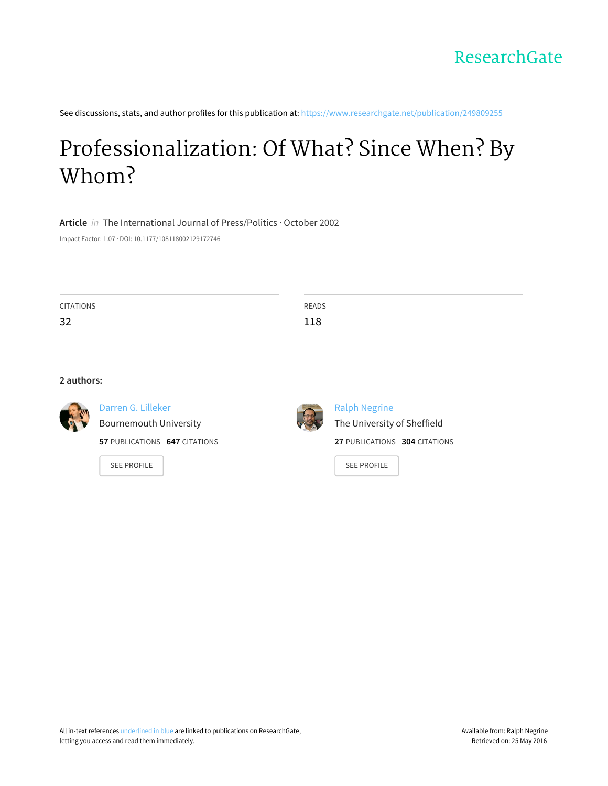See discussions, stats, and author profiles for this publication at: [https://www.researchgate.net/publication/249809255](https://www.researchgate.net/publication/249809255_Professionalization_Of_What_Since_When_By_Whom?enrichId=rgreq-44294cfc-56a3-4612-bd2f-ec47db436453&enrichSource=Y292ZXJQYWdlOzI0OTgwOTI1NTtBUzoxNDkyOTA1ODQzODM0ODhAMTQxMjYwNTA1NzMzOQ%3D%3D&el=1_x_2)

## [Professionalization:](https://www.researchgate.net/publication/249809255_Professionalization_Of_What_Since_When_By_Whom?enrichId=rgreq-44294cfc-56a3-4612-bd2f-ec47db436453&enrichSource=Y292ZXJQYWdlOzI0OTgwOTI1NTtBUzoxNDkyOTA1ODQzODM0ODhAMTQxMjYwNTA1NzMzOQ%3D%3D&el=1_x_3) Of What? Since When? By Whom?

**Article** in The International Journal of Press/Politics · October 2002

Impact Factor: 1.07 · DOI: 10.1177/108118002129172746

| <b>CITATIONS</b> | READS |
|------------------|-------|
| 32               | 118   |

**2 authors:**



Darren G. [Lilleker](https://www.researchgate.net/profile/Darren_Lilleker?enrichId=rgreq-44294cfc-56a3-4612-bd2f-ec47db436453&enrichSource=Y292ZXJQYWdlOzI0OTgwOTI1NTtBUzoxNDkyOTA1ODQzODM0ODhAMTQxMjYwNTA1NzMzOQ%3D%3D&el=1_x_5) [Bournemouth](https://www.researchgate.net/institution/Bournemouth_University?enrichId=rgreq-44294cfc-56a3-4612-bd2f-ec47db436453&enrichSource=Y292ZXJQYWdlOzI0OTgwOTI1NTtBUzoxNDkyOTA1ODQzODM0ODhAMTQxMjYwNTA1NzMzOQ%3D%3D&el=1_x_6) University

**57** PUBLICATIONS **647** CITATIONS

SEE [PROFILE](https://www.researchgate.net/profile/Darren_Lilleker?enrichId=rgreq-44294cfc-56a3-4612-bd2f-ec47db436453&enrichSource=Y292ZXJQYWdlOzI0OTgwOTI1NTtBUzoxNDkyOTA1ODQzODM0ODhAMTQxMjYwNTA1NzMzOQ%3D%3D&el=1_x_7)



Ralph [Negrine](https://www.researchgate.net/profile/Ralph_Negrine?enrichId=rgreq-44294cfc-56a3-4612-bd2f-ec47db436453&enrichSource=Y292ZXJQYWdlOzI0OTgwOTI1NTtBUzoxNDkyOTA1ODQzODM0ODhAMTQxMjYwNTA1NzMzOQ%3D%3D&el=1_x_5) The [University](https://www.researchgate.net/institution/The_University_of_Sheffield?enrichId=rgreq-44294cfc-56a3-4612-bd2f-ec47db436453&enrichSource=Y292ZXJQYWdlOzI0OTgwOTI1NTtBUzoxNDkyOTA1ODQzODM0ODhAMTQxMjYwNTA1NzMzOQ%3D%3D&el=1_x_6) of Sheffield

**27** PUBLICATIONS **304** CITATIONS

SEE [PROFILE](https://www.researchgate.net/profile/Ralph_Negrine?enrichId=rgreq-44294cfc-56a3-4612-bd2f-ec47db436453&enrichSource=Y292ZXJQYWdlOzI0OTgwOTI1NTtBUzoxNDkyOTA1ODQzODM0ODhAMTQxMjYwNTA1NzMzOQ%3D%3D&el=1_x_7)

All in-text references underlined in blue are linked to publications on ResearchGate, letting you access and read them immediately.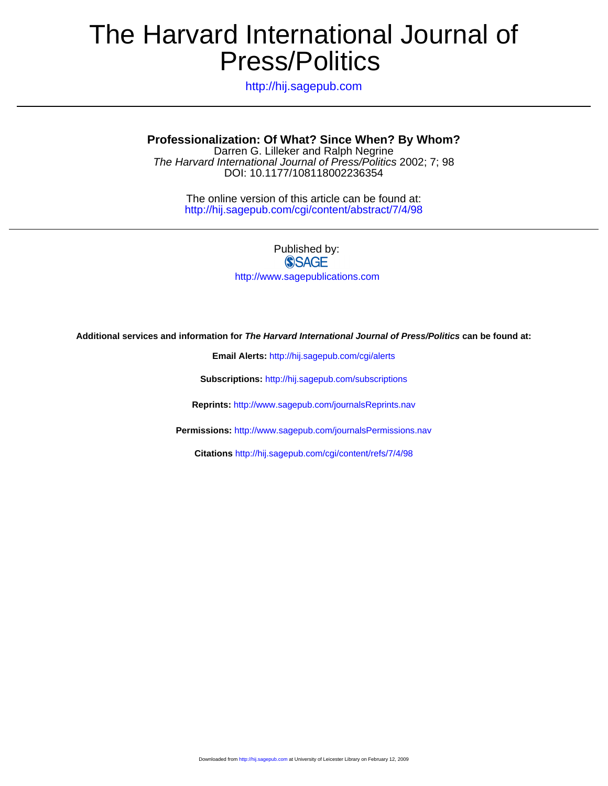# Press/Politics The Harvard International Journal of

http://hij.sagepub.com

### **Professionalization: Of What? Since When? By Whom?**

DOI: 10.1177/108118002236354 The Harvard International Journal of Press/Politics 2002; 7; 98 Darren G. Lilleker and Ralph Negrine

http://hij.sagepub.com/cgi/content/abstract/7/4/98 The online version of this article can be found at:

> Published by: **SSAGE** http://www.sagepublications.com

**Additional services and information for The Harvard International Journal of Press/Politics can be found at:**

**Email Alerts:** <http://hij.sagepub.com/cgi/alerts>

**Subscriptions:** <http://hij.sagepub.com/subscriptions>

**Reprints:** <http://www.sagepub.com/journalsReprints.nav>

**Permissions:** <http://www.sagepub.com/journalsPermissions.nav>

**Citations** <http://hij.sagepub.com/cgi/content/refs/7/4/98>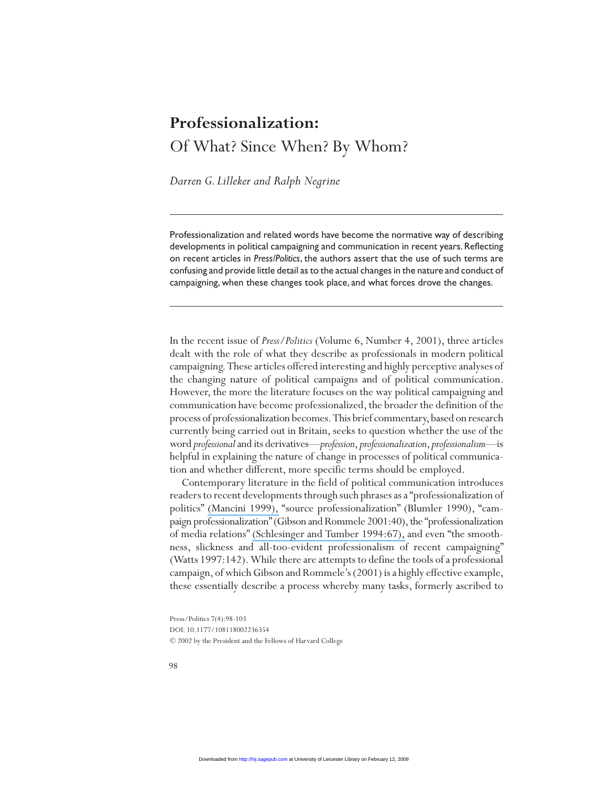## **Professionalization:** Of What? Since When? By Whom?

*Darren G. Lilleker and Ralph Negrine*

Professionalization and related words have become the normative way of describing developments in political campaigning and communication in recent years. Reflecting on recent articles in *Press/Politics*, the authors assert that the use of such terms are confusing and provide little detail as to the actual changes in the nature and conduct of campaigning, when these changes took place, and what forces drove the changes.

In the recent issue of *Press/Politics* (Volume 6, Number 4, 2001), three articles dealt with the role of what they describe as professionals in modern political campaigning. These articles offered interesting and highly perceptive analyses of the changing nature of political campaigns and of political communication. However, the more the literature focuses on the way political campaigning and communication have become professionalized, the broader the definition of the process of professionalization becomes.This brief commentary,based on research currently being carried out in Britain, seeks to question whether the use of the word *professional*and its derivatives—*profession*,*professionalization*,*professionalism*—is helpful in explaining the nature of change in processes of political communication and whether different, more specific terms should be employed.

Contemporary literature in the field of political communication introduces readers to recent developments through such phrases as a "professionalization of politics" [\(Mancini 1999\),](https://www.researchgate.net/publication/248988132_New_Frontiers_in_Political_Professionalism?el=1_x_8&enrichId=rgreq-44294cfc-56a3-4612-bd2f-ec47db436453&enrichSource=Y292ZXJQYWdlOzI0OTgwOTI1NTtBUzoxNDkyOTA1ODQzODM0ODhAMTQxMjYwNTA1NzMzOQ==) "source professionalization" (Blumler 1990), "campaign professionalization" (Gibson and Rommele 2001:40), the "professionalization of media relations" [\(Schlesinger and Tumber 1994:67\),](https://www.researchgate.net/publication/46952680_Reporting_Crime_The_Media_Polit_of_Criminal_Justice?el=1_x_8&enrichId=rgreq-44294cfc-56a3-4612-bd2f-ec47db436453&enrichSource=Y292ZXJQYWdlOzI0OTgwOTI1NTtBUzoxNDkyOTA1ODQzODM0ODhAMTQxMjYwNTA1NzMzOQ==) and even "the smoothness, slickness and all-too-evident professionalism of recent campaigning" (Watts 1997:142). While there are attempts to define the tools of a professional campaign, of which Gibson and Rommele's (2001) is a highly effective example, these essentially describe a process whereby many tasks, formerly ascribed to

Press/Politics 7(4):98-103 DOI: 10.1177/108118002236354 © 2002 by the President and the Fellows of Harvard College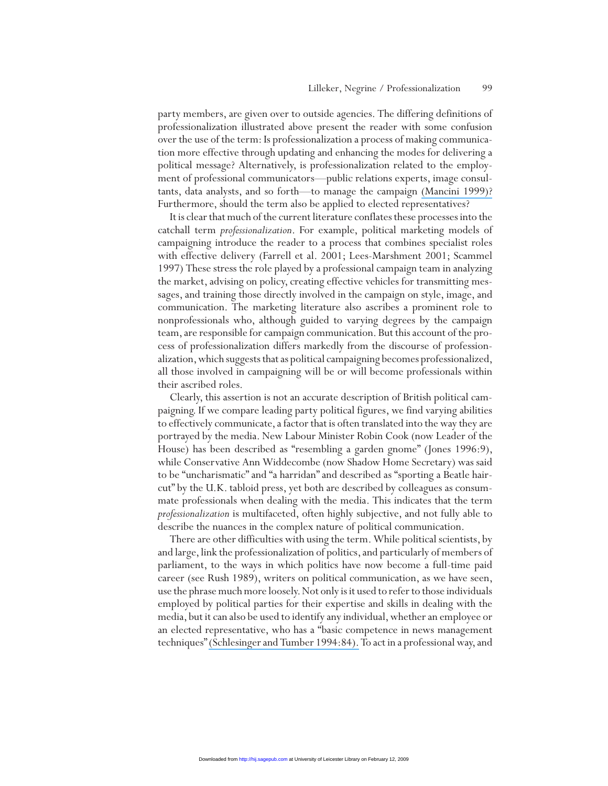party members, are given over to outside agencies. The differing definitions of professionalization illustrated above present the reader with some confusion over the use of the term: Is professionalization a process of making communication more effective through updating and enhancing the modes for delivering a political message? Alternatively, is professionalization related to the employment of professional communicators—public relations experts, image consultants, data analysts, and so forth—to manage the campaign [\(Mancini 1999\)?](https://www.researchgate.net/publication/248988132_New_Frontiers_in_Political_Professionalism?el=1_x_8&enrichId=rgreq-44294cfc-56a3-4612-bd2f-ec47db436453&enrichSource=Y292ZXJQYWdlOzI0OTgwOTI1NTtBUzoxNDkyOTA1ODQzODM0ODhAMTQxMjYwNTA1NzMzOQ==) Furthermore, should the term also be applied to elected representatives?

It is clear that much of the current literature conflates these processes into the catchall term *professionalization*. For example, political marketing models of campaigning introduce the reader to a process that combines specialist roles with effective delivery (Farrell et al. 2001; Lees-Marshment 2001; Scammel 1997) These stress the role played by a professional campaign team in analyzing the market, advising on policy, creating effective vehicles for transmitting messages, and training those directly involved in the campaign on style, image, and communication. The marketing literature also ascribes a prominent role to nonprofessionals who, although guided to varying degrees by the campaign team, are responsible for campaign communication. But this account of the process of professionalization differs markedly from the discourse of professionalization,which suggests that as political campaigning becomes professionalized, all those involved in campaigning will be or will become professionals within their ascribed roles.

Clearly, this assertion is not an accurate description of British political campaigning. If we compare leading party political figures, we find varying abilities to effectively communicate, a factor that is often translated into the way they are portrayed by the media. New Labour Minister Robin Cook (now Leader of the House) has been described as "resembling a garden gnome" (Jones 1996:9), while Conservative Ann Widdecombe (now Shadow Home Secretary) was said to be "uncharismatic" and "a harridan" and described as "sporting a Beatle haircut" by the U.K. tabloid press, yet both are described by colleagues as consummate professionals when dealing with the media. This indicates that the term *professionalization* is multifaceted, often highly subjective, and not fully able to describe the nuances in the complex nature of political communication.

There are other difficulties with using the term. While political scientists, by and large, link the professionalization of politics, and particularly of members of parliament, to the ways in which politics have now become a full-time paid career (see Rush 1989), writers on political communication, as we have seen, use the phrase much more loosely.Not only is it used to refer to those individuals employed by political parties for their expertise and skills in dealing with the media, but it can also be used to identify any individual, whether an employee or an elected representative, who has a "basic competence in news management techniques" [\(Schlesinger and Tumber 1994:84\).](https://www.researchgate.net/publication/46952680_Reporting_Crime_The_Media_Polit_of_Criminal_Justice?el=1_x_8&enrichId=rgreq-44294cfc-56a3-4612-bd2f-ec47db436453&enrichSource=Y292ZXJQYWdlOzI0OTgwOTI1NTtBUzoxNDkyOTA1ODQzODM0ODhAMTQxMjYwNTA1NzMzOQ==) To act in a professional way, and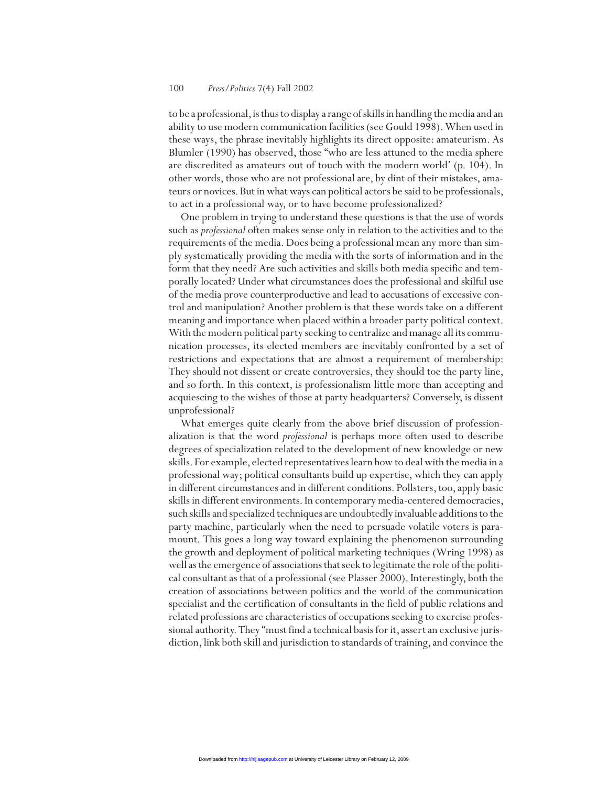to be a professional, is thus to display a range of skills in handling the media and an ability to use modern communication facilities (see Gould 1998). When used in these ways, the phrase inevitably highlights its direct opposite: amateurism. As Blumler (1990) has observed, those "who are less attuned to the media sphere are discredited as amateurs out of touch with the modern world'(p. 104). In other words, those who are not professional are, by dint of their mistakes, amateurs or novices. But in what ways can political actors be said to be professionals, to act in a professional way, or to have become professionalized?

One problem in trying to understand these questions is that the use of words such as *professional* often makes sense only in relation to the activities and to the requirements of the media. Does being a professional mean any more than simply systematically providing the media with the sorts of information and in the form that they need? Are such activities and skills both media specific and temporally located? Under what circumstances does the professional and skilful use of the media prove counterproductive and lead to accusations of excessive control and manipulation? Another problem is that these words take on a different meaning and importance when placed within a broader party political context. With the modern political party seeking to centralize and manage all its communication processes, its elected members are inevitably confronted by a set of restrictions and expectations that are almost a requirement of membership: They should not dissent or create controversies, they should toe the party line, and so forth. In this context, is professionalism little more than accepting and acquiescing to the wishes of those at party headquarters? Conversely, is dissent unprofessional?

What emerges quite clearly from the above brief discussion of professionalization is that the word *professional* is perhaps more often used to describe degrees of specialization related to the development of new knowledge or new skills. For example, elected representatives learn how to deal with the media in a professional way; political consultants build up expertise, which they can apply in different circumstances and in different conditions. Pollsters, too, apply basic skills in different environments. In contemporary media-centered democracies, such skills and specialized techniques are undoubtedly invaluable additions to the party machine, particularly when the need to persuade volatile voters is paramount. This goes a long way toward explaining the phenomenon surrounding the growth and deployment of political marketing techniques (Wring 1998) as well as the emergence of associations that seek to legitimate the role of the political consultant as that of a professional (see Plasser 2000). Interestingly, both the creation of associations between politics and the world of the communication specialist and the certification of consultants in the field of public relations and related professions are characteristics of occupations seeking to exercise professional authority. They "must find a technical basis for it, assert an exclusive jurisdiction, link both skill and jurisdiction to standards of training, and convince the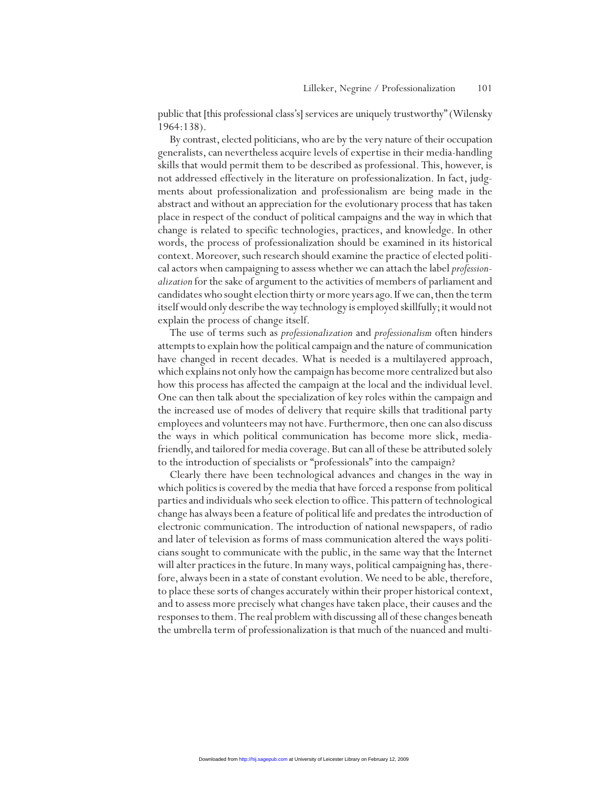public that [this professional class's] services are uniquely trustworthy" (Wilensky 1964:138).

By contrast, elected politicians, who are by the very nature of their occupation generalists, can nevertheless acquire levels of expertise in their media-handling skills that would permit them to be described as professional. This, however, is not addressed effectively in the literature on professionalization. In fact, judgments about professionalization and professionalism are being made in the abstract and without an appreciation for the evolutionary process that has taken place in respect of the conduct of political campaigns and the way in which that change is related to specific technologies, practices, and knowledge. In other words, the process of professionalization should be examined in its historical context. Moreover, such research should examine the practice of elected political actors when campaigning to assess whether we can attach the label*professionalization* for the sake of argument to the activities of members of parliament and candidates who sought election thirty or more years ago. If we can, then the term itself would only describe the way technology is employed skillfully;it would not explain the process of change itself.

The use of terms such as *professionalization* and *professionalism* often hinders attempts to explain how the political campaign and the nature of communication have changed in recent decades. What is needed is a multilayered approach, which explains not only how the campaign has become more centralized but also how this process has affected the campaign at the local and the individual level. One can then talk about the specialization of key roles within the campaign and the increased use of modes of delivery that require skills that traditional party employees and volunteers may not have. Furthermore, then one can also discuss the ways in which political communication has become more slick, mediafriendly, and tailored for media coverage. But can all of these be attributed solely to the introduction of specialists or "professionals" into the campaign?

Clearly there have been technological advances and changes in the way in which politics is covered by the media that have forced a response from political parties and individuals who seek election to office. This pattern of technological change has always been a feature of political life and predates the introduction of electronic communication. The introduction of national newspapers, of radio and later of television as forms of mass communication altered the ways politicians sought to communicate with the public, in the same way that the Internet will alter practices in the future. In many ways, political campaigning has, therefore, always been in a state of constant evolution. We need to be able, therefore, to place these sorts of changes accurately within their proper historical context, and to assess more precisely what changes have taken place, their causes and the responses to them.The real problem with discussing all of these changes beneath the umbrella term of professionalization is that much of the nuanced and multi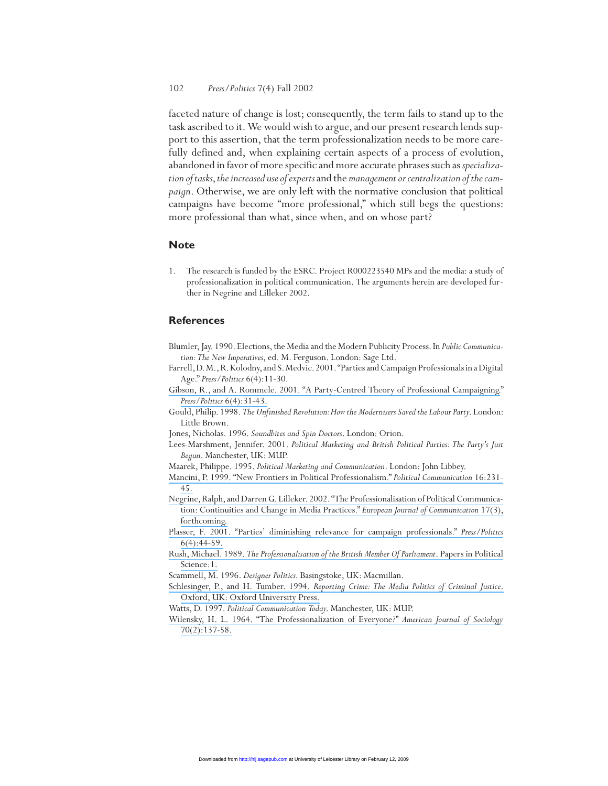faceted nature of change is lost; consequently, the term fails to stand up to the task ascribed to it. We would wish to argue, and our present research lends support to this assertion, that the term professionalization needs to be more carefully defined and, when explaining certain aspects of a process of evolution, abandoned in favor of more specific and more accurate phrases such as *specialization of tasks*,*the increased use of experts*and the*management or centralization of the campaign*. Otherwise, we are only left with the normative conclusion that political campaigns have become "more professional," which still begs the questions: more professional than what, since when, and on whose part?

#### **Note**

1. The research is funded by the ESRC. Project R000223540 MPs and the media: a study of professionalization in political communication. The arguments herein are developed further in Negrine and Lilleker 2002.

### **References**

- Blumler, Jay. 1990. Elections, the Media and the Modern Publicity Process. In *Public Communication: The New Imperatives*, ed. M. Ferguson. London: Sage Ltd.
- Farrell,D.M.,R.Kolodny,and S.Medvic.2001."Parties and Campaign Professionals in a Digital Age." *Press/Politics* 6(4):11-30.
- [Gibson, R., and A. Rommele. 2001. "A Party-Centred Theory of Professional Campaigning.](https://www.researchgate.net/publication/249809040_)" *[Press/Politics](https://www.researchgate.net/publication/249809040_)* 6(4):31-43.
- Gould, Philip. 1998. *The Unfinished Revolution:How the Modernisers Saved the Labour Party*. London: Little Brown.

Jones, Nicholas. 1996. *Soundbites and Spin Doctors*. London: Orion.

- Lees-Marshment, Jennifer. 2001. *Political Marketing and British Political Parties: The Party's Just Begun*. Manchester, UK: MUP.
- Maarek, Philippe. 1995. *Political Marketing and Communication*. London: John Libbey.
- [Mancini, P. 1999. "New Frontiers in Political Professionalism."](https://www.researchgate.net/publication/248988132_New_Frontiers_in_Political_Professionalism?el=1_x_8&enrichId=rgreq-44294cfc-56a3-4612-bd2f-ec47db436453&enrichSource=Y292ZXJQYWdlOzI0OTgwOTI1NTtBUzoxNDkyOTA1ODQzODM0ODhAMTQxMjYwNTA1NzMzOQ==) *Political Communication* 16:231- [45.](https://www.researchgate.net/publication/248988132_New_Frontiers_in_Political_Professionalism?el=1_x_8&enrichId=rgreq-44294cfc-56a3-4612-bd2f-ec47db436453&enrichSource=Y292ZXJQYWdlOzI0OTgwOTI1NTtBUzoxNDkyOTA1ODQzODM0ODhAMTQxMjYwNTA1NzMzOQ==)
- [Negrine, Ralph, and Darren G. Lilleker. 2002. "The Professionalisation of Political Communica](https://www.researchgate.net/publication/258134586_The_Professionalization_of_Political_Communication_Continuities_and_Change_in_Media_Practices?el=1_x_8&enrichId=rgreq-44294cfc-56a3-4612-bd2f-ec47db436453&enrichSource=Y292ZXJQYWdlOzI0OTgwOTI1NTtBUzoxNDkyOTA1ODQzODM0ODhAMTQxMjYwNTA1NzMzOQ==)[tion: Continuities and Change in Media Practices."](https://www.researchgate.net/publication/258134586_The_Professionalization_of_Political_Communication_Continuities_and_Change_in_Media_Practices?el=1_x_8&enrichId=rgreq-44294cfc-56a3-4612-bd2f-ec47db436453&enrichSource=Y292ZXJQYWdlOzI0OTgwOTI1NTtBUzoxNDkyOTA1ODQzODM0ODhAMTQxMjYwNTA1NzMzOQ==) *European Journal of Communication* 17(3), [forthcoming.](https://www.researchgate.net/publication/258134586_The_Professionalization_of_Political_Communication_Continuities_and_Change_in_Media_Practices?el=1_x_8&enrichId=rgreq-44294cfc-56a3-4612-bd2f-ec47db436453&enrichSource=Y292ZXJQYWdlOzI0OTgwOTI1NTtBUzoxNDkyOTA1ODQzODM0ODhAMTQxMjYwNTA1NzMzOQ==)
- [Plasser, F. 2001. "Parties'diminishing relevance for campaign professionals."](https://www.researchgate.net/publication/249809042_Parties) *Press/Politics* [6\(4\):44-59.](https://www.researchgate.net/publication/249809042_Parties)
- Rush, Michael. 1989. *[The Professionalisation of the British Member Of Parliament](https://www.researchgate.net/publication/300868922_The_Professionalization_of_the_Member_of_Parliament?el=1_x_8&enrichId=rgreq-44294cfc-56a3-4612-bd2f-ec47db436453&enrichSource=Y292ZXJQYWdlOzI0OTgwOTI1NTtBUzoxNDkyOTA1ODQzODM0ODhAMTQxMjYwNTA1NzMzOQ==)*. Papers in Political [Science:1.](https://www.researchgate.net/publication/300868922_The_Professionalization_of_the_Member_of_Parliament?el=1_x_8&enrichId=rgreq-44294cfc-56a3-4612-bd2f-ec47db436453&enrichSource=Y292ZXJQYWdlOzI0OTgwOTI1NTtBUzoxNDkyOTA1ODQzODM0ODhAMTQxMjYwNTA1NzMzOQ==)
- Scammell, M. 1996. *Designer Politics*. Basingstoke, UK: Macmillan.
- Schlesinger, P., and H. Tumber. 1994. *[Reporting Crime: The Media Politics of Criminal Justice](https://www.researchgate.net/publication/274508435_Reporting_Crime_The_Media_Politics_of_Criminal_Justice?el=1_x_8&enrichId=rgreq-44294cfc-56a3-4612-bd2f-ec47db436453&enrichSource=Y292ZXJQYWdlOzI0OTgwOTI1NTtBUzoxNDkyOTA1ODQzODM0ODhAMTQxMjYwNTA1NzMzOQ==)*. [Oxford, UK: Oxford University Press.](https://www.researchgate.net/publication/274508435_Reporting_Crime_The_Media_Politics_of_Criminal_Justice?el=1_x_8&enrichId=rgreq-44294cfc-56a3-4612-bd2f-ec47db436453&enrichSource=Y292ZXJQYWdlOzI0OTgwOTI1NTtBUzoxNDkyOTA1ODQzODM0ODhAMTQxMjYwNTA1NzMzOQ==)
- Watts, D. 1997. *Political Communication Today*. Manchester, UK: MUP.
- [Wilensky, H. L. 1964. "The Professionalization of Everyone?"](https://www.researchgate.net/publication/277491356_The_Professionalization_of_Everyone?el=1_x_8&enrichId=rgreq-44294cfc-56a3-4612-bd2f-ec47db436453&enrichSource=Y292ZXJQYWdlOzI0OTgwOTI1NTtBUzoxNDkyOTA1ODQzODM0ODhAMTQxMjYwNTA1NzMzOQ==) *American Journal of Sociology* [70\(2\):137-58.](https://www.researchgate.net/publication/277491356_The_Professionalization_of_Everyone?el=1_x_8&enrichId=rgreq-44294cfc-56a3-4612-bd2f-ec47db436453&enrichSource=Y292ZXJQYWdlOzI0OTgwOTI1NTtBUzoxNDkyOTA1ODQzODM0ODhAMTQxMjYwNTA1NzMzOQ==)